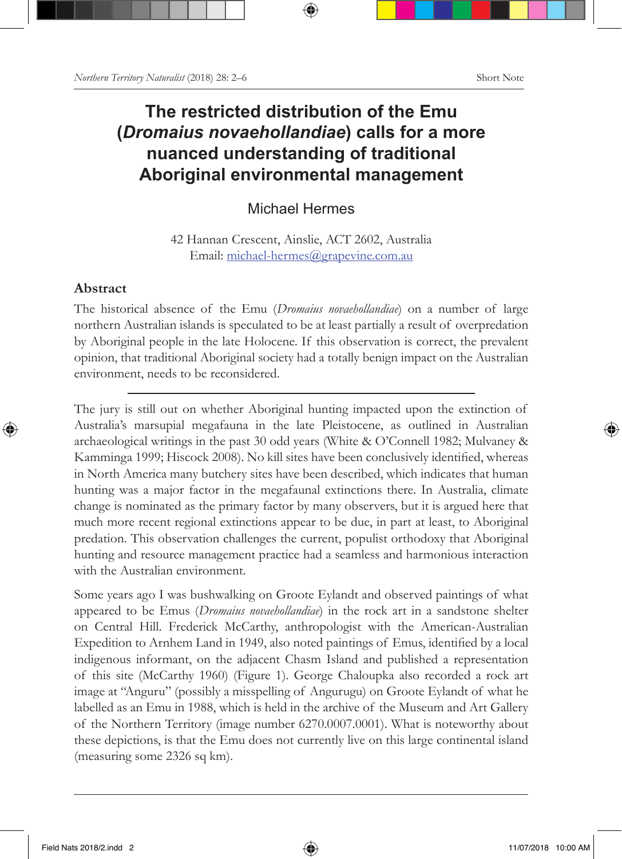## **The restricted distribution of the Emu (***Dromaius novaehollandiae***) calls for a more nuanced understanding of traditional Aboriginal environmental management**

Michael Hermes

42 Hannan Crescent, Ainslie, ACT 2602, Australia Email: michael-hermes@grapevine.com.au

## **Abstract**

The historical absence of the Emu (*Dromaius novaehollandiae*) on a number of large northern Australian islands is speculated to be at least partially a result of overpredation by Aboriginal people in the late Holocene. If this observation is correct, the prevalent opinion, that traditional Aboriginal society had a totally benign impact on the Australian environment, needs to be reconsidered.

The jury is still out on whether Aboriginal hunting impacted upon the extinction of Australia's marsupial megafauna in the late Pleistocene, as outlined in Australian archaeological writings in the past 30 odd years (White & O'Connell 1982; Mulvaney & Kamminga 1999; Hiscock 2008). No kill sites have been conclusively identified, whereas in North America many butchery sites have been described, which indicates that human hunting was a major factor in the megafaunal extinctions there. In Australia, climate change is nominated as the primary factor by many observers, but it is argued here that much more recent regional extinctions appear to be due, in part at least, to Aboriginal predation. This observation challenges the current, populist orthodoxy that Aboriginal hunting and resource management practice had a seamless and harmonious interaction with the Australian environment.

Some years ago I was bushwalking on Groote Eylandt and observed paintings of what appeared to be Emus (*Dromaius novaehollandiae*) in the rock art in a sandstone shelter on Central Hill. Frederick McCarthy, anthropologist with the American-Australian Expedition to Arnhem Land in 1949, also noted paintings of Emus, identified by a local indigenous informant, on the adjacent Chasm Island and published a representation of this site (McCarthy 1960) (Figure 1). George Chaloupka also recorded a rock art image at "Anguru" (possibly a misspelling of Angurugu) on Groote Eylandt of what he labelled as an Emu in 1988, which is held in the archive of the Museum and Art Gallery of the Northern Territory (image number 6270.0007.0001). What is noteworthy about these depictions, is that the Emu does not currently live on this large continental island (measuring some 2326 sq km).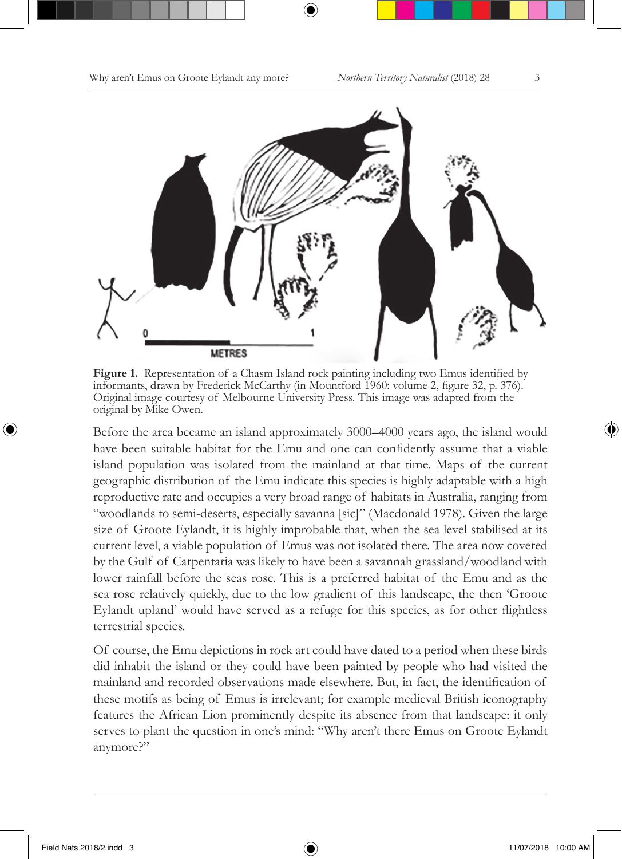

**Figure 1.** Representation of a Chasm Island rock painting including two Emus identified by informants, drawn by Frederick McCarthy (in Mountford 1960: volume 2, figure 32, p. 376). Original image courtesy of Melbourne University Press. This image was adapted from the original by Mike Owen.

Before the area became an island approximately 3000–4000 years ago, the island would have been suitable habitat for the Emu and one can confidently assume that a viable island population was isolated from the mainland at that time. Maps of the current geographic distribution of the Emu indicate this species is highly adaptable with a high reproductive rate and occupies a very broad range of habitats in Australia, ranging from "woodlands to semi-deserts, especially savanna [sic]" (Macdonald 1978). Given the large size of Groote Eylandt, it is highly improbable that, when the sea level stabilised at its current level, a viable population of Emus was not isolated there. The area now covered by the Gulf of Carpentaria was likely to have been a savannah grassland/woodland with lower rainfall before the seas rose. This is a preferred habitat of the Emu and as the sea rose relatively quickly, due to the low gradient of this landscape, the then 'Groote Eylandt upland' would have served as a refuge for this species, as for other flightless terrestrial species.

Of course, the Emu depictions in rock art could have dated to a period when these birds did inhabit the island or they could have been painted by people who had visited the mainland and recorded observations made elsewhere. But, in fact, the identification of these motifs as being of Emus is irrelevant; for example medieval British iconography features the African Lion prominently despite its absence from that landscape: it only serves to plant the question in one's mind: "Why aren't there Emus on Groote Eylandt anymore?"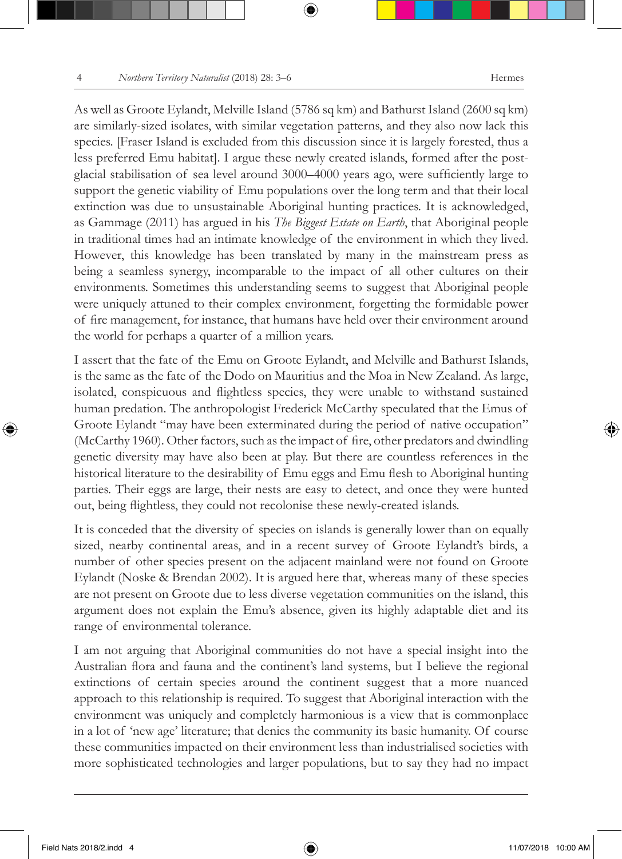As well as Groote Eylandt, Melville Island (5786 sq km) and Bathurst Island (2600 sq km) are similarly-sized isolates, with similar vegetation patterns, and they also now lack this species. [Fraser Island is excluded from this discussion since it is largely forested, thus a less preferred Emu habitat]. I argue these newly created islands, formed after the postglacial stabilisation of sea level around 3000–4000 years ago, were sufficiently large to support the genetic viability of Emu populations over the long term and that their local extinction was due to unsustainable Aboriginal hunting practices. It is acknowledged, as Gammage (2011) has argued in his *The Biggest Estate on Earth*, that Aboriginal people in traditional times had an intimate knowledge of the environment in which they lived. However, this knowledge has been translated by many in the mainstream press as being a seamless synergy, incomparable to the impact of all other cultures on their environments. Sometimes this understanding seems to suggest that Aboriginal people were uniquely attuned to their complex environment, forgetting the formidable power of fire management, for instance, that humans have held over their environment around the world for perhaps a quarter of a million years.

I assert that the fate of the Emu on Groote Eylandt, and Melville and Bathurst Islands, is the same as the fate of the Dodo on Mauritius and the Moa in New Zealand. As large, isolated, conspicuous and flightless species, they were unable to withstand sustained human predation. The anthropologist Frederick McCarthy speculated that the Emus of Groote Eylandt "may have been exterminated during the period of native occupation" (McCarthy 1960). Other factors, such as the impact of fire, other predators and dwindling genetic diversity may have also been at play. But there are countless references in the historical literature to the desirability of Emu eggs and Emu flesh to Aboriginal hunting parties. Their eggs are large, their nests are easy to detect, and once they were hunted out, being flightless, they could not recolonise these newly-created islands.

It is conceded that the diversity of species on islands is generally lower than on equally sized, nearby continental areas, and in a recent survey of Groote Eylandt's birds, a number of other species present on the adjacent mainland were not found on Groote Eylandt (Noske & Brendan 2002). It is argued here that, whereas many of these species are not present on Groote due to less diverse vegetation communities on the island, this argument does not explain the Emu's absence, given its highly adaptable diet and its range of environmental tolerance.

I am not arguing that Aboriginal communities do not have a special insight into the Australian flora and fauna and the continent's land systems, but I believe the regional extinctions of certain species around the continent suggest that a more nuanced approach to this relationship is required. To suggest that Aboriginal interaction with the environment was uniquely and completely harmonious is a view that is commonplace in a lot of 'new age' literature; that denies the community its basic humanity. Of course these communities impacted on their environment less than industrialised societies with more sophisticated technologies and larger populations, but to say they had no impact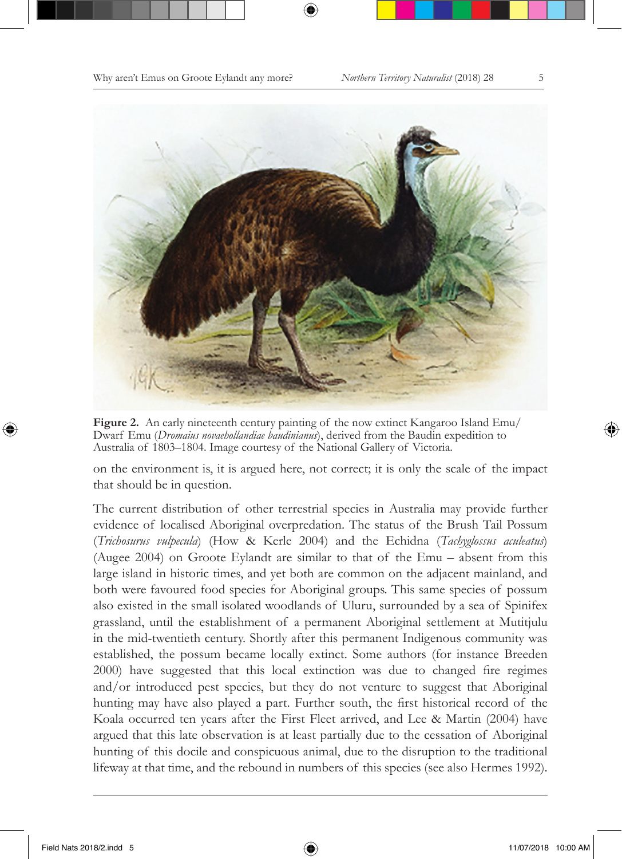

**Figure 2.** An early nineteenth century painting of the now extinct Kangaroo Island Emu/ Dwarf Emu (*Dromaius novaehollandiae baudinianus*), derived from the Baudin expedition to Australia of 1803–1804. Image courtesy of the National Gallery of Victoria.

on the environment is, it is argued here, not correct; it is only the scale of the impact that should be in question.

The current distribution of other terrestrial species in Australia may provide further evidence of localised Aboriginal overpredation. The status of the Brush Tail Possum (*Trichosurus vulpecula*) (How & Kerle 2004) and the Echidna (*Tachyglossus aculeatus*) (Augee 2004) on Groote Eylandt are similar to that of the Emu – absent from this large island in historic times, and yet both are common on the adjacent mainland, and both were favoured food species for Aboriginal groups. This same species of possum also existed in the small isolated woodlands of Uluru, surrounded by a sea of Spinifex grassland, until the establishment of a permanent Aboriginal settlement at Mutitjulu in the mid-twentieth century. Shortly after this permanent Indigenous community was established, the possum became locally extinct. Some authors (for instance Breeden 2000) have suggested that this local extinction was due to changed fire regimes and/or introduced pest species, but they do not venture to suggest that Aboriginal hunting may have also played a part. Further south, the first historical record of the Koala occurred ten years after the First Fleet arrived, and Lee & Martin (2004) have argued that this late observation is at least partially due to the cessation of Aboriginal hunting of this docile and conspicuous animal, due to the disruption to the traditional lifeway at that time, and the rebound in numbers of this species (see also Hermes 1992).